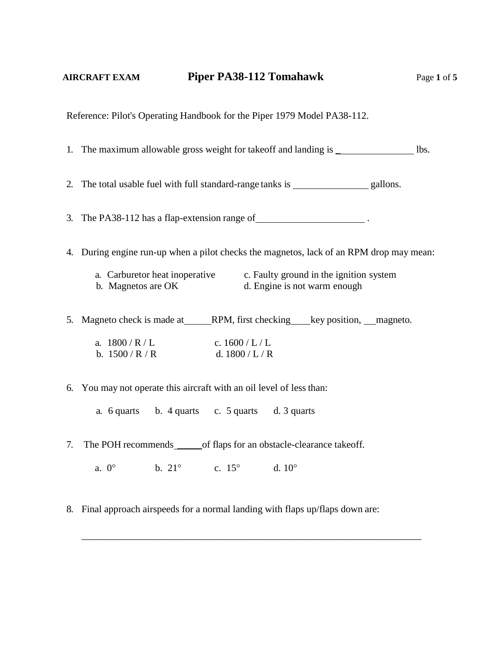Reference: Pilot's Operating Handbook for the Piper 1979 Model PA38-112.

1. The maximum allowable gross weight for takeoff and landing is  $\Box$  lbs.

2. The total usable fuel with full standard-range tanks is gallons.

3. The PA38-112 has a flap-extension range of .

4. During engine run-up when a pilot checks the magnetos, lack of an RPM drop may mean:

| a. Carburetor heat inoperative | c. Faulty ground in the ignition system |
|--------------------------------|-----------------------------------------|
| b. Magnetos are OK             | d. Engine is not warm enough            |

5. Magneto check is made at RPM, first checking key position, magneto.

| a. 1800/R/L   | c. $1600/L/L$     |
|---------------|-------------------|
| b. $1500/R/R$ | d. $1800$ / L / R |

6. You may not operate this aircraft with an oil level of less than:

a. 6 quarts b. 4 quarts c. 5 quarts d. 3 quarts

7. The POH recommends \_\_\_\_\_\_\_of flaps for an obstacle-clearance takeoff.

a.  $0^{\circ}$  b.  $21^{\circ}$  c.  $15^{\circ}$  d.  $10^{\circ}$ 

8. Final approach airspeeds for a normal landing with flaps up/flaps down are:

\_\_\_\_\_\_\_\_\_\_\_\_\_\_\_\_\_\_\_\_\_\_\_\_\_\_\_\_\_\_\_\_\_\_\_\_\_\_\_\_\_\_\_\_\_\_\_\_\_\_\_\_\_\_\_\_\_\_\_\_\_\_\_\_\_\_\_\_\_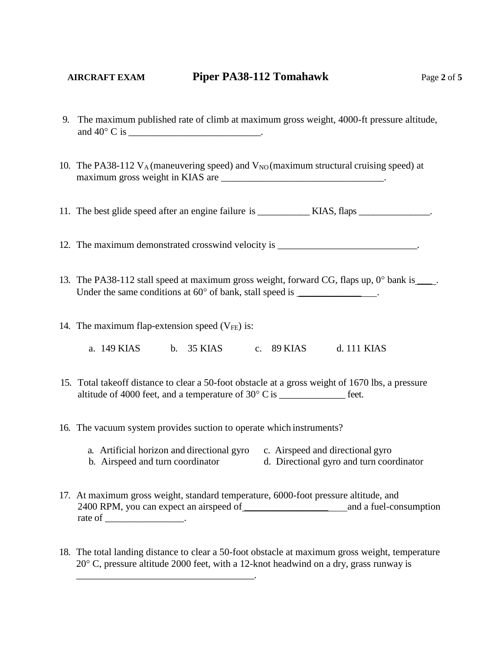- 
- 9. The maximum published rate of climb at maximum gross weight, 4000-ft pressure altitude, and  $40^{\circ}$  C is  $\qquad \qquad$  .
- 10. The PA38-112  $V_A$  (maneuvering speed) and  $V_{NO}$  (maximum structural cruising speed) at maximum gross weight in KIAS are \_\_\_\_\_\_\_\_\_\_\_\_\_\_\_\_\_\_\_\_\_\_\_\_\_\_\_\_\_\_\_\_\_.

11. The best glide speed after an engine failure is \_\_\_\_\_\_\_\_\_\_\_ KIAS, flaps \_\_\_\_\_\_\_\_\_\_\_\_\_\_\_.

12. The maximum demonstrated crosswind velocity is  $\blacksquare$ 

- 13. The PA38-112 stall speed at maximum gross weight, forward CG, flaps up,  $0^{\circ}$  bank is \_\_\_\_. Under the same conditions at  $60^{\circ}$  of bank, stall speed is \_\_\_\_\_\_\_\_\_\_\_\_\_\_\_\_\_\_
- 14. The maximum flap-extension speed  $(V_{FE})$  is:

\_\_\_\_\_\_\_\_\_\_\_\_\_\_\_\_\_\_\_\_\_\_\_\_\_\_\_\_\_\_\_\_\_\_\_\_\_.

a. 149 KIAS b. 35 KIAS c. 89 KIAS d. 111 KIAS

- 15. Total takeoff distance to clear a 50-foot obstacle at a gross weight of 1670 lbs, a pressure altitude of 4000 feet, and a temperature of  $30^{\circ}$  C is \_\_\_\_\_\_\_\_\_\_\_\_\_\_\_\_ feet.
- 16. The vacuum system provides suction to operate which instruments?
	- a. Artificial horizon and directional gyro c. Airspeed and directional gyro
	- b. Airspeed and turn coordinator d. Directional gyro and turn coordinator
- 17. At maximum gross weight, standard temperature, 6000-foot pressure altitude, and 2400 RPM, you can expect an airspeed of \_\_\_\_\_\_\_\_\_\_\_\_\_\_\_\_\_\_\_ and a fuel-consumption rate of  $\_\_\_\_\_\_\_\_\$ .
- 18. The total landing distance to clear a 50-foot obstacle at maximum gross weight, temperature  $20^{\circ}$  C, pressure altitude 2000 feet, with a 12-knot headwind on a dry, grass runway is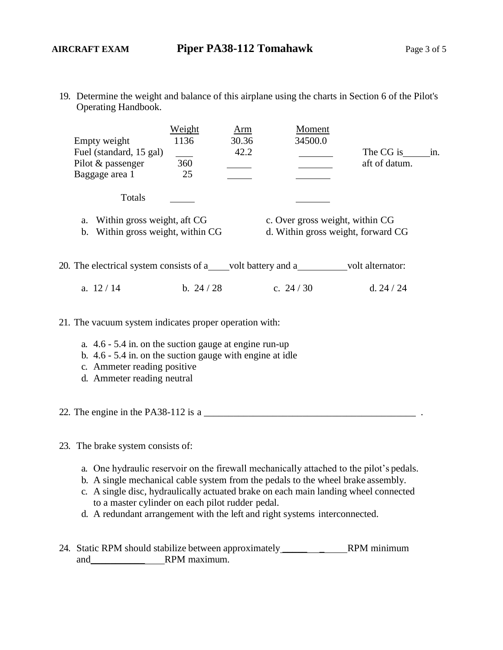19. Determine the weight and balance of this airplane using the charts in Section 6 of the Pilot's Operating Handbook.

|  |                                                                        | Weight     | Arm                                | Moment     |                  |     |
|--|------------------------------------------------------------------------|------------|------------------------------------|------------|------------------|-----|
|  | Empty weight                                                           | 1136       | 30.36                              | 34500.0    |                  |     |
|  | Fuel (standard, 15 gal)                                                |            | 42.2                               |            | The CG is        | in. |
|  | Pilot & passenger                                                      | 360        |                                    |            | aft of datum.    |     |
|  | Baggage area 1                                                         | 25         |                                    |            |                  |     |
|  |                                                                        |            |                                    |            |                  |     |
|  | Totals                                                                 |            |                                    |            |                  |     |
|  | Within gross weight, aft CG<br>a.<br>b. Within gross weight, within CG |            | c. Over gross weight, within CG    |            |                  |     |
|  |                                                                        |            | d. Within gross weight, forward CG |            |                  |     |
|  |                                                                        |            |                                    |            |                  |     |
|  |                                                                        |            |                                    |            |                  |     |
|  | 20. The electrical system consists of a volt battery and a             |            |                                    |            | volt alternator: |     |
|  |                                                                        |            |                                    |            |                  |     |
|  | a. $12/14$                                                             | b. $24/28$ |                                    | c. $24/30$ | d. $24/24$       |     |

21. The vacuum system indicates proper operation with:

- a. 4.6 5.4 in. on the suction gauge at engine run-up
- b. 4.6 5.4 in. on the suction gauge with engine at idle
- c. Ammeter reading positive
- d. Ammeter reading neutral
- 22. The engine in the PA38-112 is a  $\frac{1}{2}$   $\frac{1}{2}$  a  $\frac{1}{2}$   $\frac{1}{2}$  a  $\frac{1}{2}$   $\frac{1}{2}$  a  $\frac{1}{2}$   $\frac{1}{2}$  a  $\frac{1}{2}$   $\frac{1}{2}$  a  $\frac{1}{2}$   $\frac{1}{2}$  a  $\frac{1}{2}$  a  $\frac{1}{2}$   $\frac{1}{2}$  a  $\frac{1}{2}$   $\frac{1}{2}$

## 23. The brake system consists of:

- a. One hydraulic reservoir on the firewall mechanically attached to the pilot's pedals.
- b. A single mechanical cable system from the pedals to the wheel brake assembly.
- c. A single disc, hydraulically actuated brake on each main landing wheel connected to a master cylinder on each pilot rudder pedal.
- d. A redundant arrangement with the left and right systems interconnected.
- 24. Static RPM should stabilize between approximately \_\_\_\_\_ \_ RPM minimum and\_\_\_\_\_\_\_\_\_\_\_ RPM maximum.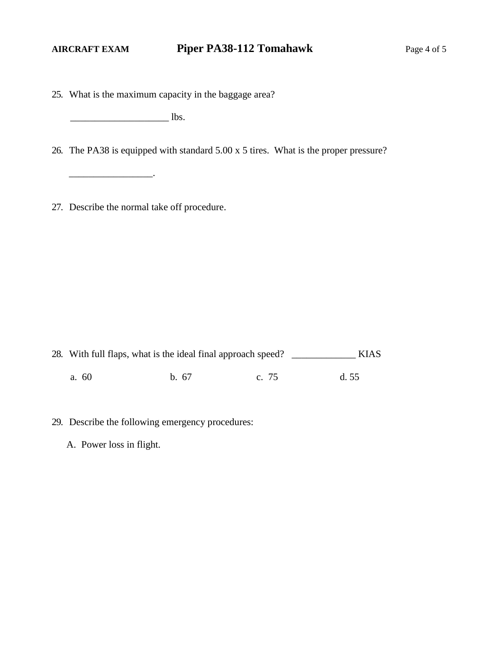25. What is the maximum capacity in the baggage area?

 $\overline{\phantom{a}}$  lbs.

 $\overline{\phantom{a}}$  ,  $\overline{\phantom{a}}$  ,  $\overline{\phantom{a}}$  ,  $\overline{\phantom{a}}$  ,  $\overline{\phantom{a}}$  ,  $\overline{\phantom{a}}$  ,  $\overline{\phantom{a}}$  ,  $\overline{\phantom{a}}$  ,  $\overline{\phantom{a}}$  ,  $\overline{\phantom{a}}$  ,  $\overline{\phantom{a}}$  ,  $\overline{\phantom{a}}$  ,  $\overline{\phantom{a}}$  ,  $\overline{\phantom{a}}$  ,  $\overline{\phantom{a}}$  ,  $\overline{\phantom{a}}$ 

26. The PA38 is equipped with standard 5.00 x 5 tires. What is the proper pressure?

27. Describe the normal take off procedure.

28. With full flaps, what is the ideal final approach speed? \_\_\_\_\_\_\_\_\_\_\_\_\_ KIAS a. 60 b. 67 c. 75 d. 55

- 29. Describe the following emergency procedures:
	- A. Power loss in flight.